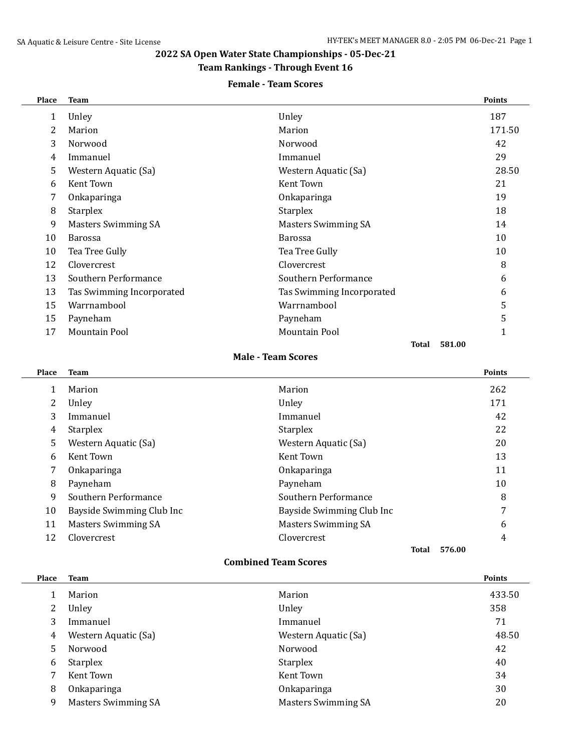### **2022 SA Open Water State Championships - 05-Dec-21**

### **Team Rankings - Through Event 16**

#### **Female - Team Scores**

| Place | <b>Team</b>                |                            | <b>Points</b> |
|-------|----------------------------|----------------------------|---------------|
| 1     | Unley                      | Unley                      | 187           |
| 2     | Marion                     | Marion                     | 171.50        |
| 3     | Norwood                    | Norwood                    | 42            |
| 4     | Immanuel                   | Immanuel                   | 29            |
| 5     | Western Aquatic (Sa)       | Western Aquatic (Sa)       | 28.50         |
| 6     | Kent Town                  | Kent Town                  | 21            |
| 7     | Onkaparinga                | Onkaparinga                | 19            |
| 8     | <b>Starplex</b>            | <b>Starplex</b>            | 18            |
| 9     | <b>Masters Swimming SA</b> | <b>Masters Swimming SA</b> | 14            |
| 10    | <b>Barossa</b>             | <b>Barossa</b>             | 10            |
| 10    | Tea Tree Gully             | Tea Tree Gully             | 10            |
| 12    | Clovercrest                | Clovercrest                | 8             |
| 13    | Southern Performance       | Southern Performance       | 6             |
| 13    | Tas Swimming Incorporated  | Tas Swimming Incorporated  | 6             |
| 15    | Warrnambool                | Warrnambool                | 5             |
| 15    | Payneham                   | Payneham                   | 5             |
| 17    | <b>Mountain Pool</b>       | <b>Mountain Pool</b>       | 1             |
|       |                            | Total                      | 581.00        |

#### **Male - Team Scores**

| Place | Team                       |                            | <b>Points</b> |
|-------|----------------------------|----------------------------|---------------|
|       | Marion                     | Marion                     | 262           |
|       | Unley                      | Unley                      | 171           |
| 3     | Immanuel                   | Immanuel                   | 42            |
| 4     | <b>Starplex</b>            | <b>Starplex</b>            | 22            |
| 5     | Western Aquatic (Sa)       | Western Aquatic (Sa)       | 20            |
| 6     | Kent Town                  | Kent Town                  | 13            |
| 7     | Onkaparinga                | Onkaparinga                | 11            |
| 8     | Payneham                   | Payneham                   | 10            |
| 9     | Southern Performance       | Southern Performance       | 8             |
| 10    | Bayside Swimming Club Inc  | Bayside Swimming Club Inc  | 7             |
| 11    | <b>Masters Swimming SA</b> | <b>Masters Swimming SA</b> | 6             |
| 12    | Clovercrest                | Clovercrest                | 4             |
|       |                            | <b>Total</b>               | 576.00        |

#### **Combined Team Scores**

| Place | <b>Team</b>                |                            | <b>Points</b> |
|-------|----------------------------|----------------------------|---------------|
|       | Marion                     | Marion                     | 433.50        |
| 2     | Unley                      | Unley                      | 358           |
| 3     | Immanuel                   | Immanuel                   | 71            |
| 4     | Western Aquatic (Sa)       | Western Aquatic (Sa)       | 48.50         |
| 5     | Norwood                    | Norwood                    | 42            |
| 6     | Starplex                   | <b>Starplex</b>            | 40            |
| 7     | Kent Town                  | Kent Town                  | 34            |
| 8     | Onkaparinga                | Onkaparinga                | 30            |
| 9     | <b>Masters Swimming SA</b> | <b>Masters Swimming SA</b> | 20            |